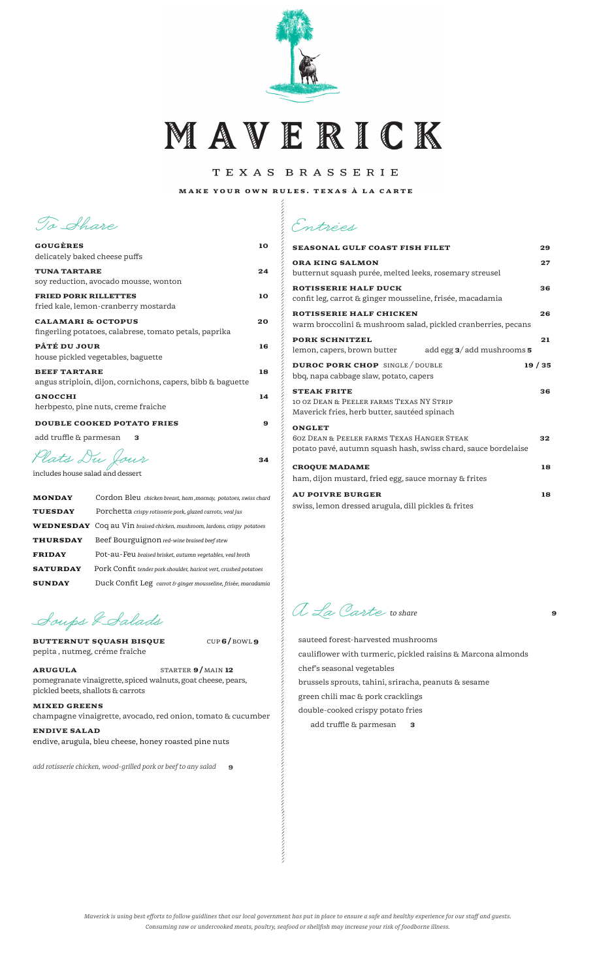

MAVERICK

TEXAS BRASSERIE

MAKE YOUR OWN RULES. TEXAS À LA CARTE

 $\alpha$  . The construction of the construction of the construction of the construction of the construction of the construction of the construction of the construction of the construction of the construction of the constructi

 $34$ 

CUP 6/BOWL 9

To Ahare

| <b>GOUGÈRES</b><br>delicately baked cheese puffs                                        | 10 |
|-----------------------------------------------------------------------------------------|----|
| <b>TUNA TARTARE</b><br>soy reduction, avocado mousse, wonton                            | 24 |
| <b>FRIED PORK RILLETTES</b><br>fried kale, lemon-cranberry mostarda                     | 10 |
| <b>CALAMARI &amp; OCTOPUS</b><br>fingerling potatoes, calabrese, tomato petals, paprika | 20 |
| PÂTÉ DU JOUR<br>house pickled vegetables, baguette                                      | 16 |
| <b>BEEF TARTARE</b><br>angus striploin, dijon, cornichons, capers, bibb & baguette      | 18 |
| <b>GNOCCHI</b><br>herbpesto, pine nuts, creme fraiche                                   | 14 |
| <b>DOUBLE COOKED POTATO FRIES</b>                                                       | 9  |
| add truffle & parmesan<br>з                                                             |    |
|                                                                                         |    |

Plats Du Jour

includes house salad and dessert

| <b>MONDAY</b>   | Cordon Bleu chicken breast, ham , mornay, potatoes, swiss chard                 |
|-----------------|---------------------------------------------------------------------------------|
| <b>TUESDAY</b>  | Porchetta crispy rotisserie pork, glazed carrots, veal jus                      |
|                 | <b>WEDNESDAY</b> Coq au Vin braised chicken, mushroom, lardons, crispy potatoes |
| <b>THURSDAY</b> | Beef Bourguignon red-wine braised beef stew                                     |
| <b>FRIDAY</b>   | Pot-au-Feu braised brisket, autumn vegetables, veal broth                       |
| <b>SATURDAY</b> | Pork Confit tender pork shoulder, haricot vert, crushed potatoes                |
| <b>SUNDAY</b>   | Duck Confit Leg carrot & ginger mousseline, frisée, macadamia                   |

Soups & Salads

**BUTTERNUT SQUASH BISQUE** pepita, nutmeg, créme fraîche

**ARUGULA** STARTER 9/MAIN 12 pomegranate vinaigrette, spiced walnuts, goat cheese, pears, pickled beets, shallots & carrots

## **MIXED GREENS**

champagne vinaigrette, avocado, red onion, tomato  $\&$  cucumber

**ENDIVE SALAD** endive, arugula, bleu cheese, honey roasted pine nuts

add rotisserie chicken, wood-grilled pork or beef to any salad  $\quad$  9

|  | Entrées |
|--|---------|
|  |         |

| <b>SEASONAL GULF COAST FISH FILET</b>                                                                                                    | 29 |
|------------------------------------------------------------------------------------------------------------------------------------------|----|
| <b>ORA KING SALMON</b><br>butternut squash purée, melted leeks, rosemary streusel                                                        | 27 |
| <b>ROTISSERIE HALF DUCK</b><br>confit leg, carrot & ginger mousseline, frisée, macadamia                                                 | 36 |
| ROTISSERIE HALF CHICKEN<br>warm broccolini & mushroom salad, pickled cranberries, pecans                                                 | 26 |
| <b>PORK SCHNITZEL</b><br>add egg $3/$ add mushrooms $5$<br>lemon, capers, brown butter                                                   | 21 |
| <b>DUROC PORK CHOP</b> SINGLE / DOUBLE<br>19/35<br>bbq, napa cabbage slaw, potato, capers                                                |    |
| <b>STEAK FRITE</b><br>10 0Z DEAN & PEELER FARMS TEXAS NY STRIP<br>Maverick fries, herb butter, sautéed spinach                           | 36 |
| <b>ONGLET</b><br><b>60Z DEAN &amp; PEELER FARMS TEXAS HANGER STEAK</b><br>potato pavé, autumn squash hash, swiss chard, sauce bordelaise | 32 |
| <b>CROQUE MADAME</b><br>ham, dijon mustard, fried egg, sauce mornay & frites                                                             | 18 |
| <b>AU POIVRE BURGER</b><br>swiss, lemon dressed arugula, dill pickles & frites                                                           | 18 |

A La Carte to share

sauteed forest-harvested mushrooms cauliflower with turmeric, pickled raisins & Marcona almonds chef's seasonal vegetables brussels sprouts, tahini, sriracha, peanuts & sesame green chili mac & pork cracklings double-cooked crispy potato fries add truffle & parmesan  $\overline{\mathbf{3}}$ 

9

Maverick is using best efforts to follow guidlines that our local government has put in place to ensure a safe and healthy experience for our staff and guests. Consuming raw or undercooked meats, poultry, seafood or shellfish may increase your risk of foodborne illness.